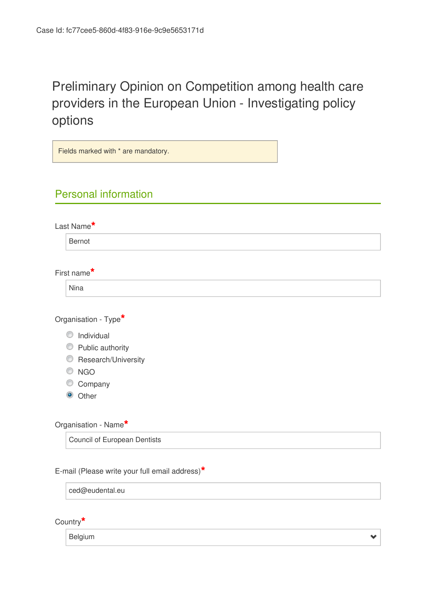# Preliminary Opinion on Competition among health care providers in the European Union - Investigating policy options

| Fields marked with * are mandatory.            |  |
|------------------------------------------------|--|
|                                                |  |
| <b>Personal information</b>                    |  |
|                                                |  |
| Last Name*                                     |  |
| Bernot                                         |  |
|                                                |  |
| First name*                                    |  |
| <b>Nina</b>                                    |  |
|                                                |  |
| Organisation - Type*                           |  |
| C Individual                                   |  |
| C Public authority                             |  |
| Research/University                            |  |
| $\odot$ NGO                                    |  |
| Company                                        |  |
| Other<br>$\bullet$                             |  |
|                                                |  |
| Organisation - Name*                           |  |
| <b>Council of European Dentists</b>            |  |
|                                                |  |
| E-mail (Please write your full email address)* |  |
| ced@eudental.eu                                |  |
|                                                |  |

Country**\***

Belgium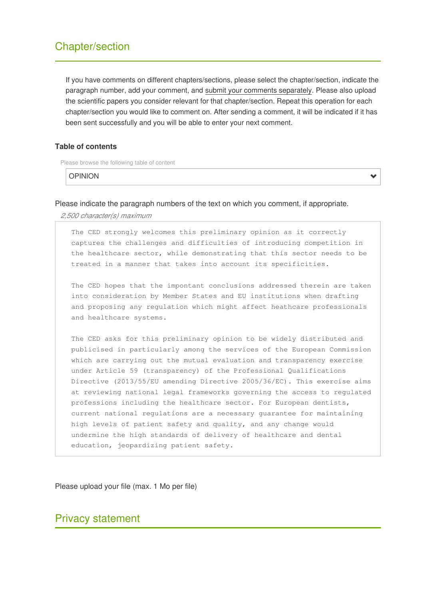# Chapter/section

If you have comments on different chapters/sections, please select the chapter/section, indicate the paragraph number, add your comment, and submit your comments separately. Please also upload the scientific papers you consider relevant for that chapter/section. Repeat this operation for each chapter/section you would like to comment on. After sending a comment, it will be indicated if it has been sent successfully and you will be able to enter your next comment.

Ÿ

#### **Table of contents**

Please browse the following table of content

OPINION

Please indicate the paragraph numbers of the text on which you comment, if appropriate.

*2,500 character(s) maximum*

The CED strongly welcomes this preliminary opinion as it correctly captures the challenges and difficulties of introducing competition in the healthcare sector, while demonstrating that this sector needs to be treated in a manner that takes into account its specificities.

The CED hopes that the impontant conclusions addressed therein are taken into consideration by Member States and EU institutions when drafting and proposing any regulation which might affect heathcare professionals and healthcare systems.

The CED asks for this preliminary opinion to be widely distributed and publicised in particularly among the services of the European Commission which are carrying out the mutual evaluation and transparency exercise under Article 59 (transparency) of the Professional Qualifications Directive (2013/55/EU amending Directive 2005/36/EC). This exercise aims at reviewing national legal frameworks governing the access to regulated professions including the healthcare sector. For European dentists, current national regulations are a necessary guarantee for maintaining high levels of patient safety and quality, and any change would undermine the high standards of delivery of healthcare and dental education, jeopardizing patient safety.

Please upload your file (max. 1 Mo per file)

## Privacy statement